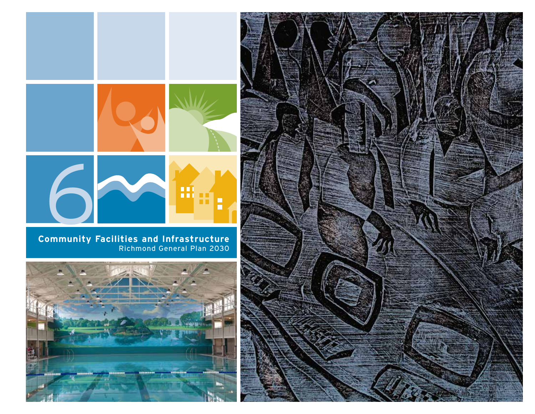

Richmond General Plan 2030



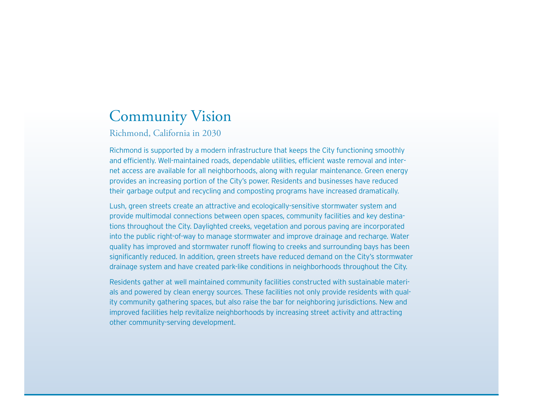# Community Vision

Richmond, California in 2030

Richmond is supported by a modern infrastructure that keeps the City functioning smoothly and efficiently. Well-maintained roads, dependable utilities, efficient waste removal and internet access are available for all neighborhoods, along with regular maintenance. Green energy provides an increasing portion of the City's power. Residents and businesses have reduced their garbage output and recycling and composting programs have increased dramatically.

Lush, green streets create an attractive and ecologically-sensitive stormwater system and provide multimodal connections between open spaces, community facilities and key destinations throughout the City. Daylighted creeks, vegetation and porous paving are incorporated into the public right-of-way to manage stormwater and improve drainage and recharge. Water quality has improved and stormwater runoff flowing to creeks and surrounding bays has been significantly reduced. In addition, green streets have reduced demand on the City's stormwater drainage system and have created park-like conditions in neighborhoods throughout the City.

Residents gather at well maintained community facilities constructed with sustainable materials and powered by clean energy sources. These facilities not only provide residents with quality community gathering spaces, but also raise the bar for neighboring jurisdictions. New and improved facilities help revitalize neighborhoods by increasing street activity and attracting other community-serving development.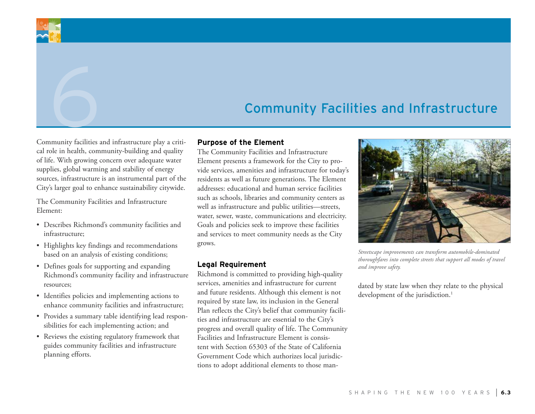# Community Facilities and Infrastructure

Community facilities and infrastructure play a critical role in health, community-building and quality of life. With growing concern over adequate water supplies, global warming and stability of energy sources, infrastructure is an instrumental part of the City's larger goal to enhance sustainability citywide.

The Community Facilities and Infrastructure Element:

- • Describes Richmond's community facilities and infrastructure;
- Highlights key findings and recommendations based on an analysis of existing conditions;
- Defines goals for supporting and expanding Richmond's community facility and infrastructure resources;
- • Identifies policies and implementing actions to enhance community facilities and infrastructure;
- • Provides a summary table identifying lead responsibilities for each implementing action; and
- Reviews the existing regulatory framework that guides community facilities and infrastructure planning efforts.

### **Purpose of the Element**

The Community Facilities and Infrastructure Element presents a framework for the City to provide services, amenities and infrastructure for today's residents as well as future generations. The Element addresses: educational and human service facilities such as schools, libraries and community centers as well as infrastructure and public utilities—streets, water, sewer, waste, communications and electricity. Goals and policies seek to improve these facilities and services to meet community needs as the City grows.

### **Legal Requirement**

Richmond is committed to providing high-quality services, amenities and infrastructure for current and future residents. Although this element is not required by state law, its inclusion in the General Plan reflects the City's belief that community facilities and infrastructure are essential to the City's progress and overall quality of life. The Community Facilities and Infrastructure Element is consistent with Section 65303 of the State of California Government Code which authorizes local jurisdictions to adopt additional elements to those man-



*Streetscape improvements can transform automobile-dominated thoroughfares into complete streets that support all modes of travel and improve safety.*

dated by state law when they relate to the physical development of the jurisdiction.<sup>1</sup>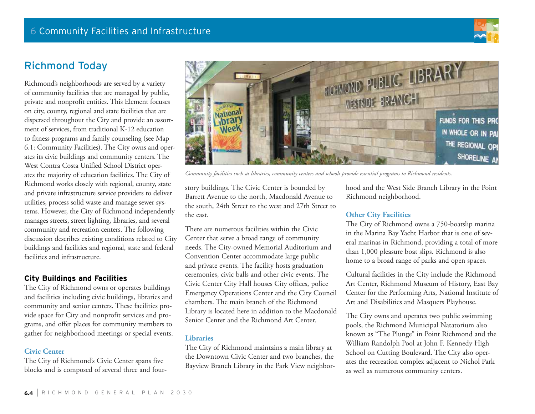

# Richmond Today

Richmond's neighborhoods are served by a variety of community facilities that are managed by public, private and nonprofit entities. This Element focuses on city, county, regional and state facilities that are dispersed throughout the City and provide an assortment of services, from traditional K-12 education to fitness programs and family counseling (see Map 6.1: Community Facilities). The City owns and operates its civic buildings and community centers. The West Contra Costa Unified School District operates the majority of education facilities. The City of Richmond works closely with regional, county, state and private infrastructure service providers to deliver utilities, process solid waste and manage sewer systems. However, the City of Richmond independently manages streets, street lighting, libraries, and several community and recreation centers. The following discussion describes existing conditions related to City buildings and facilities and regional, state and federal facilities and infrastructure.

### **City Buildings and Facilities**

The City of Richmond owns or operates buildings and facilities including civic buildings, libraries and community and senior centers. These facilities provide space for City and nonprofit services and programs, and offer places for community members to gather for neighborhood meetings or special events.

### **Civic Center**

The City of Richmond's Civic Center spans five blocks and is composed of several three and four-



*Community facilities such as libraries, community centers and schools provide essential programs to Richmond residents.*

story buildings. The Civic Center is bounded by Barrett Avenue to the north, Macdonald Avenue to the south, 24th Street to the west and 27th Street to the east.

There are numerous facilities within the Civic Center that serve a broad range of community needs. The City-owned Memorial Auditorium and Convention Center accommodate large public and private events. The facility hosts graduation ceremonies, civic balls and other civic events. The Civic Center City Hall houses City offices, police Emergency Operations Center and the City Council chambers. The main branch of the Richmond Library is located here in addition to the Macdonald Senior Center and the Richmond Art Center.

### **Libraries**

The City of Richmond maintains a main library at the Downtown Civic Center and two branches, the Bayview Branch Library in the Park View neighborhood and the West Side Branch Library in the Point Richmond neighborhood.

### **Other City Facilities**

The City of Richmond owns a 750-boatslip marina in the Marina Bay Yacht Harbor that is one of several marinas in Richmond, providing a total of more than 1,000 pleasure boat slips. Richmond is also home to a broad range of parks and open spaces.

Cultural facilities in the City include the Richmond Art Center, Richmond Museum of History, East Bay Center for the Performing Arts, National Institute of Art and Disabilities and Masquers Playhouse.

The City owns and operates two public swimming pools, the Richmond Municipal Natatorium also known as "The Plunge" in Point Richmond and the William Randolph Pool at John F. Kennedy High School on Cutting Boulevard. The City also operates the recreation complex adjacent to Nichol Park as well as numerous community centers.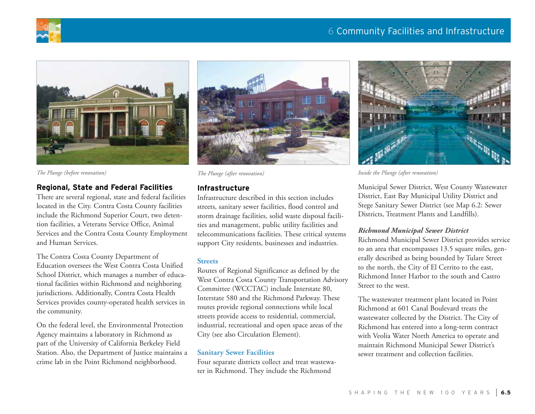



### **Regional, State and Federal Facilities**

There are several regional, state and federal facilities located in the City. Contra Costa County facilities include the Richmond Superior Court, two detention facilities, a Veterans Service Office, Animal Services and the Contra Costa County Employment and Human Services.

The Contra Costa County Department of Education oversees the West Contra Costa Unified School District, which manages a number of educational facilities within Richmond and neighboring jurisdictions. Additionally, Contra Costa Health Services provides county-operated health services in the community.

On the federal level, the Environmental Protection Agency maintains a laboratory in Richmond as part of the University of California Berkeley Field Station. Also, the Department of Justice maintains a crime lab in the Point Richmond neighborhood.



### **Infrastructure**

Infrastructure described in this section includes streets, sanitary sewer facilities, flood control and storm drainage facilities, solid waste disposal facilities and management, public utility facilities and telecommunications facilities. These critical systems support City residents, businesses and industries.

### **Streets**

Routes of Regional Significance as defined by the West Contra Costa County Transportation Advisory Committee (WCCTAC) include Interstate 80, Interstate 580 and the Richmond Parkway. These routes provide regional connections while local streets provide access to residential, commercial, industrial, recreational and open space areas of the City (see also Circulation Element).

### **Sanitary Sewer Facilities**

Four separate districts collect and treat wastewater in Richmond. They include the Richmond



*The Plunge (before renovation) The Plunge (after renovation) Inside the Plunge (after renovation)*

Municipal Sewer District, West County Wastewater District, East Bay Municipal Utility District and Stege Sanitary Sewer District (see Map 6.2: Sewer Districts, Treatment Plants and Landfills).

### *Richmond Municipal Sewer District*

Richmond Municipal Sewer District provides service to an area that encompasses 13.5 square miles, generally described as being bounded by Tulare Street to the north, the City of El Cerrito to the east, Richmond Inner Harbor to the south and Castro Street to the west.

The wastewater treatment plant located in Point Richmond at 601 Canal Boulevard treats the wastewater collected by the District. The City of Richmond has entered into a long-term contract with Veolia Water North America to operate and maintain Richmond Municipal Sewer District's sewer treatment and collection facilities.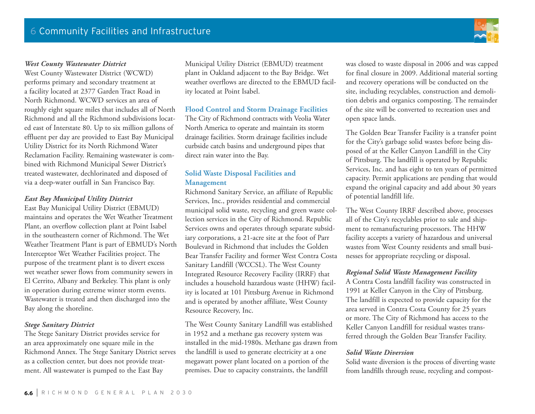

### *West County Wastewater District*

West County Wastewater District (WCWD) performs primary and secondary treatment at a facility located at 2377 Garden Tract Road in North Richmond. WCWD services an area of roughly eight square miles that includes all of North Richmond and all the Richmond subdivisions located east of Interstate 80. Up to six million gallons of effluent per day are provided to East Bay Municipal Utility District for its North Richmond Water Reclamation Facility. Remaining wastewater is combined with Richmond Municipal Sewer District's treated wastewater, dechlorinated and disposed of via a deep-water outfall in San Francisco Bay.

### *East Bay Municipal Utility District*

East Bay Municipal Utility District (EBMUD) maintains and operates the Wet Weather Treatment Plant, an overflow collection plant at Point Isabel in the southeastern corner of Richmond. The Wet Weather Treatment Plant is part of EBMUD's North Interceptor Wet Weather Facilities project. The purpose of the treatment plant is to divert excess wet weather sewer flows from community sewers in El Cerrito, Albany and Berkeley. This plant is only in operation during extreme winter storm events. Wastewater is treated and then discharged into the Bay along the shoreline.

### *Stege Sanitary District*

The Stege Sanitary District provides service for an area approximately one square mile in the Richmond Annex. The Stege Sanitary District serves as a collection center, but does not provide treatment. All wastewater is pumped to the East Bay

Municipal Utility District (EBMUD) treatment plant in Oakland adjacent to the Bay Bridge. Wet weather overflows are directed to the EBMUD facility located at Point Isabel.

### **Flood Control and Storm Drainage Facilities**

The City of Richmond contracts with Veolia Water North America to operate and maintain its storm drainage facilities. Storm drainage facilities include curbside catch basins and underground pipes that direct rain water into the Bay.

### **Solid Waste Disposal Facilities and Management**

Richmond Sanitary Service, an affiliate of Republic Services, Inc., provides residential and commercial municipal solid waste, recycling and green waste collection services in the City of Richmond. Republic Services owns and operates through separate subsidiary corporations, a 21-acre site at the foot of Parr Boulevard in Richmond that includes the Golden Bear Transfer Facility and former West Contra Costa Sanitary Landfill (WCCSL). The West County Integrated Resource Recovery Facility (IRRF) that includes a household hazardous waste (HHW) facility is located at 101 Pittsburg Avenue in Richmond and is operated by another affiliate, West County Resource Recovery, Inc.

The West County Sanitary Landfill was established in 1952 and a methane gas recovery system was installed in the mid-1980s. Methane gas drawn from the landfill is used to generate electricity at a one megawatt power plant located on a portion of the premises. Due to capacity constraints, the landfill

was closed to waste disposal in 2006 and was capped for final closure in 2009. Additional material sorting and recovery operations will be conducted on the site, including recyclables, construction and demolition debris and organics composting. The remainder of the site will be converted to recreation uses and open space lands.

The Golden Bear Transfer Facility is a transfer point for the City's garbage solid wastes before being disposed of at the Keller Canyon Landfill in the City of Pittsburg. The landfill is operated by Republic Services, Inc. and has eight to ten years of permitted capacity. Permit applications are pending that would expand the original capacity and add about 30 years of potential landfill life.

The West County IRRF described above, processes all of the City's recyclables prior to sale and shipment to remanufacturing processors. The HHW facility accepts a variety of hazardous and universal wastes from West County residents and small businesses for appropriate recycling or disposal.

### *Regional Solid Waste Management Facility*

A Contra Costa landfill facility was constructed in 1991 at Keller Canyon in the City of Pittsburg. The landfill is expected to provide capacity for the area served in Contra Costa County for 25 years or more. The City of Richmond has access to the Keller Canyon Landfill for residual wastes transferred through the Golden Bear Transfer Facility.

### *Solid Waste Diversion*

Solid waste diversion is the process of diverting waste from landfills through reuse, recycling and compost-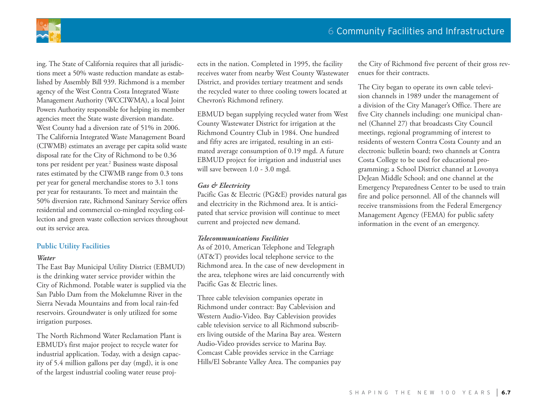

ing. The State of California requires that all jurisdictions meet a 50% waste reduction mandate as established by Assembly Bill 939. Richmond is a member agency of the West Contra Costa Integrated Waste Management Authority (WCCIWMA), a local Joint Powers Authority responsible for helping its member agencies meet the State waste diversion mandate. West County had a diversion rate of 51% in 2006. The California Integrated Waste Management Board (CIWMB) estimates an average per capita solid waste disposal rate for the City of Richmond to be 0.36 tons per resident per year.<sup>2</sup> Business waste disposal rates estimated by the CIWMB range from 0.3 tons per year for general merchandise stores to 3.1 tons per year for restaurants. To meet and maintain the 50% diversion rate, Richmond Sanitary Service offers residential and commercial co-mingled recycling collection and green waste collection services throughout out its service area.

### **Public Utility Facilities**

### *Water*

The East Bay Municipal Utility District (EBMUD) is the drinking water service provider within the City of Richmond. Potable water is supplied via the San Pablo Dam from the Mokelumne River in the Sierra Nevada Mountains and from local rain-fed reservoirs. Groundwater is only utilized for some irrigation purposes.

The North Richmond Water Reclamation Plant is EBMUD's first major project to recycle water for industrial application. Today, with a design capacity of 5.4 million gallons per day (mgd), it is one of the largest industrial cooling water reuse projects in the nation. Completed in 1995, the facility receives water from nearby West County Wastewater District, and provides tertiary treatment and sends the recycled water to three cooling towers located at Chevron's Richmond refinery.

EBMUD began supplying recycled water from West County Wastewater District for irrigation at the Richmond Country Club in 1984. One hundred and fifty acres are irrigated, resulting in an estimated average consumption of 0.19 mgd. A future EBMUD project for irrigation and industrial uses will save between 1.0 - 3.0 mgd.

### *Gas & Electricity*

Pacific Gas & Electric (PG&E) provides natural gas and electricity in the Richmond area. It is anticipated that service provision will continue to meet current and projected new demand.

### *Telecommunications Facilities*

As of 2010, American Telephone and Telegraph (AT&T) provides local telephone service to the Richmond area. In the case of new development in the area, telephone wires are laid concurrently with Pacific Gas & Electric lines.

Three cable television companies operate in Richmond under contract: Bay Cablevision and Western Audio-Video. Bay Cablevision provides cable television service to all Richmond subscribers living outside of the Marina Bay area. Western Audio-Video provides service to Marina Bay. Comcast Cable provides service in the Carriage Hills/El Sobrante Valley Area. The companies pay the City of Richmond five percent of their gross revenues for their contracts.

The City began to operate its own cable television channels in 1989 under the management of a division of the City Manager's Office. There are five City channels including: one municipal channel (Channel 27) that broadcasts City Council meetings, regional programming of interest to residents of western Contra Costa County and an electronic bulletin board; two channels at Contra Costa College to be used for educational programming; a School District channel at Lovonya DeJean Middle School; and one channel at the Emergency Preparedness Center to be used to train fire and police personnel. All of the channels will receive transmissions from the Federal Emergency Management Agency (FEMA) for public safety information in the event of an emergency.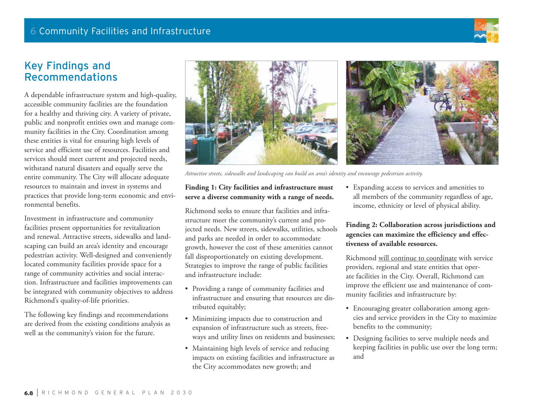

# Key Findings and Recommendations

A dependable infrastructure system and high-quality, accessible community facilities are the foundation for a healthy and thriving city. A variety of private, public and nonprofit entities own and manage community facilities in the City. Coordination among these entities is vital for ensuring high levels of service and efficient use of resources. Facilities and services should meet current and projected needs, withstand natural disasters and equally serve the entire community. The City will allocate adequate resources to maintain and invest in systems and practices that provide long-term economic and environmental benefits.

Investment in infrastructure and community facilities present opportunities for revitalization and renewal. Attractive streets, sidewalks and landscaping can build an area's identity and encourage pedestrian activity. Well-designed and conveniently located community facilities provide space for a range of community activities and social interaction. Infrastructure and facilities improvements can be integrated with community objectives to address Richmond's quality-of-life priorities.

The following key findings and recommendations are derived from the existing conditions analysis as well as the community's vision for the future.



*Attractive streets, sidewalks and landscaping can build an area's identity and encourage pedestrian activity.* 

### **Finding 1: City facilities and infrastructure must serve a diverse community with a range of needs.**

Richmond seeks to ensure that facilities and infrastructure meet the community's current and projected needs. New streets, sidewalks, utilities, schools and parks are needed in order to accommodate growth, however the cost of these amenities cannot fall disproportionately on existing development. Strategies to improve the range of public facilities and infrastructure include:

- • Providing a range of community facilities and infrastructure and ensuring that resources are distributed equitably;
- • Minimizing impacts due to construction and expansion of infrastructure such as streets, freeways and utility lines on residents and businesses;
- Maintaining high levels of service and reducing impacts on existing facilities and infrastructure as the City accommodates new growth; and

• Expanding access to services and amenities to all members of the community regardless of age, income, ethnicity or level of physical ability.

### **Finding 2: Collaboration across jurisdictions and agencies can maximize the efficiency and effectiveness of available resources.**

Richmond will continue to coordinate with service providers, regional and state entities that operate facilities in the City. Overall, Richmond can improve the efficient use and maintenance of community facilities and infrastructure by:

- • Encouraging greater collaboration among agencies and service providers in the City to maximize benefits to the community;
- • Designing facilities to serve multiple needs and keeping facilities in public use over the long term; and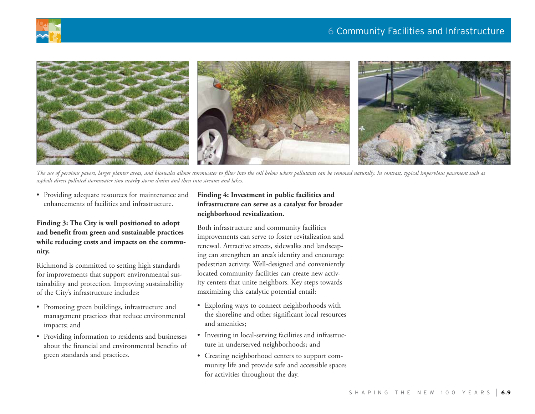





*The use of pervious pavers, larger planter areas, and bioswales allows stormwater to filter into the soil below where pollutants can be removed naturally. In contrast, typical impervious pavement such as asphalt direct polluted stormwater itno nearby storm drains and then into streams and lakes.*

• Providing adequate resources for maintenance and enhancements of facilities and infrastructure.

### **Finding 3: The City is well positioned to adopt and benefit from green and sustainable practices while reducing costs and impacts on the community.**

Richmond is committed to setting high standards for improvements that support environmental sustainability and protection. Improving sustainability of the City's infrastructure includes:

- • Promoting green buildings, infrastructure and management practices that reduce environmental impacts; and
- Providing information to residents and businesses about the financial and environmental benefits of green standards and practices.

### **Finding 4: Investment in public facilities and infrastructure can serve as a catalyst for broader neighborhood revitalization.**

Both infrastructure and community facilities improvements can serve to foster revitalization and renewal. Attractive streets, sidewalks and landscaping can strengthen an area's identity and encourage pedestrian activity. Well-designed and conveniently located community facilities can create new activity centers that unite neighbors. Key steps towards maximizing this catalytic potential entail:

- • Exploring ways to connect neighborhoods with the shoreline and other significant local resources and amenities;
- • Investing in local-serving facilities and infrastructure in underserved neighborhoods; and
- • Creating neighborhood centers to support community life and provide safe and accessible spaces for activities throughout the day.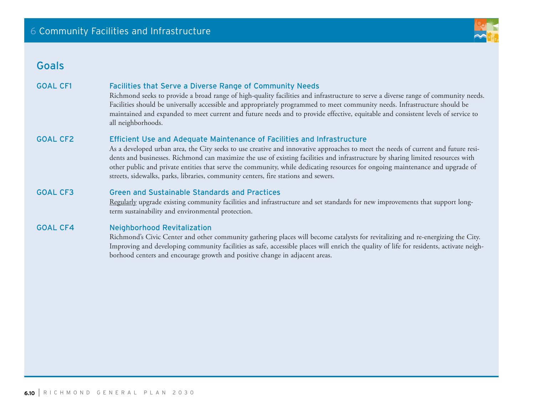# Goals

### GOAL CF1 Facilities that Serve a Diverse Range of Community Needs

Richmond seeks to provide a broad range of high-quality facilities and infrastructure to serve a diverse range of community needs. Facilities should be universally accessible and appropriately programmed to meet community needs. Infrastructure should be maintained and expanded to meet current and future needs and to provide effective, equitable and consistent levels of service to all neighborhoods.

### GOAL CF2 Efficient Use and Adequate Maintenance of Facilities and Infrastructure

As a developed urban area, the City seeks to use creative and innovative approaches to meet the needs of current and future residents and businesses. Richmond can maximize the use of existing facilities and infrastructure by sharing limited resources with other public and private entities that serve the community, while dedicating resources for ongoing maintenance and upgrade of streets, sidewalks, parks, libraries, community centers, fire stations and sewers.

### GOAL CF3 Green and Sustainable Standards and Practices

Regularly upgrade existing community facilities and infrastructure and set standards for new improvements that support longterm sustainability and environmental protection.

### GOAL CF4 Neighborhood Revitalization

Richmond's Civic Center and other community gathering places will become catalysts for revitalizing and re-energizing the City. Improving and developing community facilities as safe, accessible places will enrich the quality of life for residents, activate neighborhood centers and encourage growth and positive change in adjacent areas.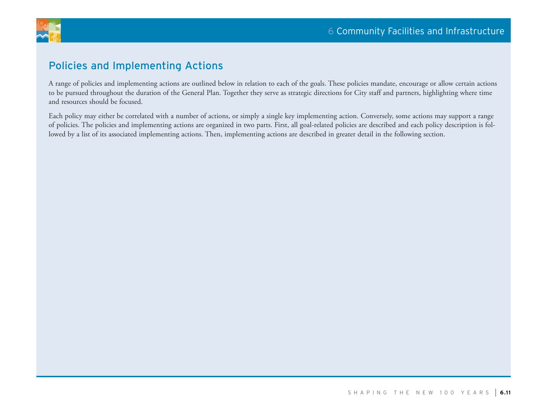

# Policies and Implementing Actions

A range of policies and implementing actions are outlined below in relation to each of the goals. These policies mandate, encourage or allow certain actions to be pursued throughout the duration of the General Plan. Together they serve as strategic directions for City staff and partners, highlighting where time and resources should be focused.

Each policy may either be correlated with a number of actions, or simply a single key implementing action. Conversely, some actions may support a range of policies. The policies and implementing actions are organized in two parts. First, all goal-related policies are described and each policy description is followed by a list of its associated implementing actions. Then, implementing actions are described in greater detail in the following section.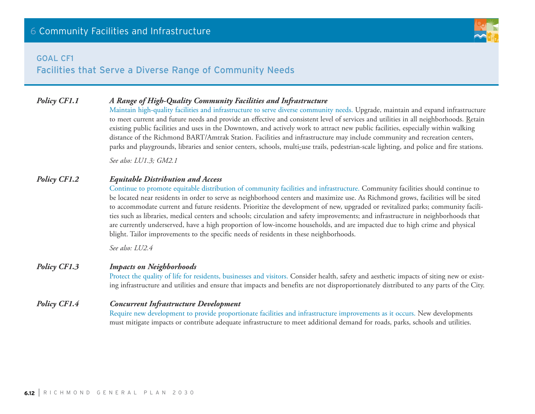### goal cf1



### *Policy CF1.1 A Range of High-Quality Community Facilities and Infrastructure*

Maintain high-quality facilities and infrastructure to serve diverse community needs. Upgrade, maintain and expand infrastructure to meet current and future needs and provide an effective and consistent level of services and utilities in all neighborhoods. Retain existing public facilities and uses in the Downtown, and actively work to attract new public facilities, especially within walking distance of the Richmond BART/Amtrak Station. Facilities and infrastructure may include community and recreation centers, parks and playgrounds, libraries and senior centers, schools, multi-use trails, pedestrian-scale lighting, and police and fire stations.

*See also: LU1.3; GM2.1* 

### *Policy CF1.2 Equitable Distribution and Access*

Continue to promote equitable distribution of community facilities and infrastructure. Community facilities should continue to be located near residents in order to serve as neighborhood centers and maximize use. As Richmond grows, facilities will be sited to accommodate current and future residents. Prioritize the development of new, upgraded or revitalized parks; community facilities such as libraries, medical centers and schools; circulation and safety improvements; and infrastructure in neighborhoods that are currently underserved, have a high proportion of low-income households, and are impacted due to high crime and physical blight. Tailor improvements to the specific needs of residents in these neighborhoods.

*See also: LU2.4*

### *Policy CF1.3 Impacts on Neighborhoods*

Protect the quality of life for residents, businesses and visitors. Consider health, safety and aesthetic impacts of siting new or existing infrastructure and utilities and ensure that impacts and benefits are not disproportionately distributed to any parts of the City.

### *Policy CF1.4 Concurrent Infrastructure Development*

Require new development to provide proportionate facilities and infrastructure improvements as it occurs. New developments must mitigate impacts or contribute adequate infrastructure to meet additional demand for roads, parks, schools and utilities.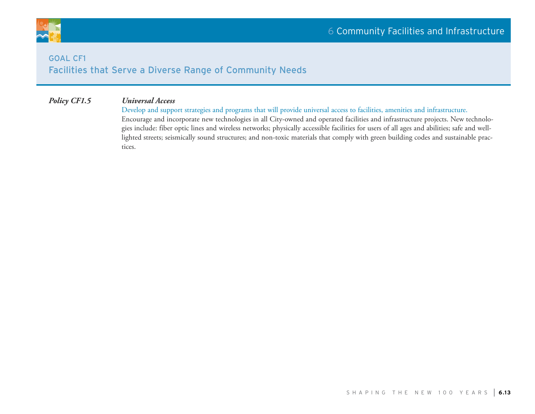

# **GOAL CF1** Facilities that Serve a Diverse Range of Community Needs

### *Policy CF1.5 Universal Access*

Develop and support strategies and programs that will provide universal access to facilities, amenities and infrastructure. Encourage and incorporate new technologies in all City-owned and operated facilities and infrastructure projects. New technologies include: fiber optic lines and wireless networks; physically accessible facilities for users of all ages and abilities; safe and welllighted streets; seismically sound structures; and non-toxic materials that comply with green building codes and sustainable practices.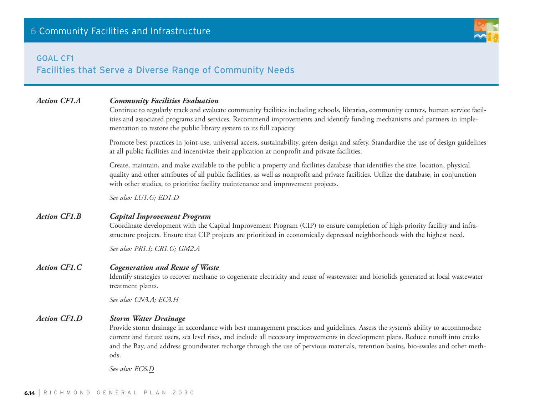### goal cf1

Facilities that Serve a Diverse Range of Community Needs

### *Action CF1.A Community Facilities Evaluation*

Continue to regularly track and evaluate community facilities including schools, libraries, community centers, human service facilities and associated programs and services. Recommend improvements and identify funding mechanisms and partners in implementation to restore the public library system to its full capacity.

Promote best practices in joint-use, universal access, sustainability, green design and safety. Standardize the use of design guidelines at all public facilities and incentivize their application at nonprofit and private facilities.

Create, maintain, and make available to the public a property and facilities database that identifies the size, location, physical quality and other attributes of all public facilities, as well as nonprofit and private facilities. Utilize the database, in conjunction with other studies, to prioritize facility maintenance and improvement projects.

*See also: LU1.G; ED1.D* 

### *Action CF1.B Capital Improvement Program*

Coordinate development with the Capital Improvement Program (CIP) to ensure completion of high-priority facility and infrastructure projects. Ensure that CIP projects are prioritized in economically depressed neighborhoods with the highest need.

*See also: PR1.I; CR1.G; GM2.A*

### *Action CF1.C Cogeneration and Reuse of Waste*

Identify strategies to recover methane to cogenerate electricity and reuse of wastewater and biosolids generated at local wastewater treatment plants.

*See also: CN3.A; EC3.H*

### *Action CF1.D Storm Water Drainage*

Provide storm drainage in accordance with best management practices and guidelines. Assess the system's ability to accommodate current and future users, sea level rises, and include all necessary improvements in development plans. Reduce runoff into creeks and the Bay, and address groundwater recharge through the use of pervious materials, retention basins, bio-swales and other methods.

*See also: EC6.D*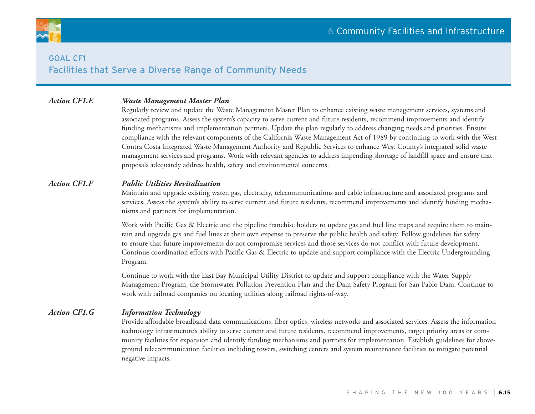

# goal cf1 Facilities that Serve a Diverse Range of Community Needs

### *Action CF1.E Waste Management Master Plan*

Regularly review and update the Waste Management Master Plan to enhance existing waste management services, systems and associated programs. Assess the system's capacity to serve current and future residents, recommend improvements and identify funding mechanisms and implementation partners. Update the plan regularly to address changing needs and priorities. Ensure compliance with the relevant components of the California Waste Management Act of 1989 by continuing to work with the West Contra Costa Integrated Waste Management Authority and Republic Services to enhance West County's integrated solid waste management services and programs. Work with relevant agencies to address impending shortage of landfill space and ensure that proposals adequately address health, safety and environmental concerns.

### *Action CF1.F Public Utilities Revitalization*

Maintain and upgrade existing water, gas, electricity, telecommunications and cable infrastructure and associated programs and services. Assess the system's ability to serve current and future residents, recommend improvements and identify funding mechanisms and partners for implementation.

Work with Pacific Gas & Electric and the pipeline franchise holders to update gas and fuel line maps and require them to maintain and upgrade gas and fuel lines at their own expense to preserve the public health and safety. Follow guidelines for safety to ensure that future improvements do not compromise services and those services do not conflict with future development. Continue coordination efforts with Pacific Gas & Electric to update and support compliance with the Electric Undergrounding Program.

Continue to work with the East Bay Municipal Utility District to update and support compliance with the Water Supply Management Program, the Stormwater Pollution Prevention Plan and the Dam Safety Program for San Pablo Dam. Continue to work with railroad companies on locating utilities along railroad rights-of-way.

### *Action CF1.G Information Technology*

Provide affordable broadband data communications, fiber optics, wireless networks and associated services. Assess the information technology infrastructure's ability to serve current and future residents, recommend improvements, target priority areas or community facilities for expansion and identify funding mechanisms and partners for implementation. Establish guidelines for aboveground telecommunication facilities including towers, switching centers and system maintenance facilities to mitigate potential negative impacts.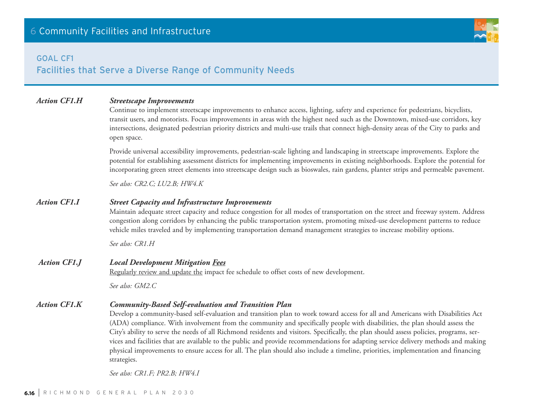### goal cf1

# Facilities that Serve a Diverse Range of Community Needs

### *Action CF1.H Streetscape Improvements*

Continue to implement streetscape improvements to enhance access, lighting, safety and experience for pedestrians, bicyclists, transit users, and motorists. Focus improvements in areas with the highest need such as the Downtown, mixed-use corridors, key intersections, designated pedestrian priority districts and multi-use trails that connect high-density areas of the City to parks and open space.

Provide universal accessibility improvements, pedestrian-scale lighting and landscaping in streetscape improvements. Explore the potential for establishing assessment districts for implementing improvements in existing neighborhoods. Explore the potential for incorporating green street elements into streetscape design such as bioswales, rain gardens, planter strips and permeable pavement.

*See also: CR2.C; LU2.B; HW4.K*

### *Action CF1.I Street Capacity and Infrastructure Improvements*

Maintain adequate street capacity and reduce congestion for all modes of transportation on the street and freeway system. Address congestion along corridors by enhancing the public transportation system, promoting mixed-use development patterns to reduce vehicle miles traveled and by implementing transportation demand management strategies to increase mobility options.

*See also: CR1.H*

### *Action CF1.J Local Development Mitigation Fees* Regularly review and update the impact fee schedule to offset costs of new development.

*See also: GM2.C*

### *Action CF1.K Community-Based Self-evaluation and Transition Plan*

Develop a community-based self-evaluation and transition plan to work toward access for all and Americans with Disabilities Act (ADA) compliance. With involvement from the community and specifically people with disabilities, the plan should assess the City's ability to serve the needs of all Richmond residents and visitors. Specifically, the plan should assess policies, programs, services and facilities that are available to the public and provide recommendations for adapting service delivery methods and making physical improvements to ensure access for all. The plan should also include a timeline, priorities, implementation and financing strategies.

*See also: CR1.F; PR2.B; HW4.I*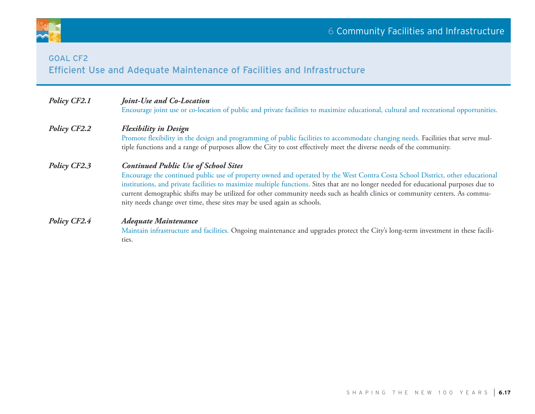

# GOAL CF2 Efficient Use and Adequate Maintenance of Facilities and Infrastructure

| Policy CF2.1        | Joint-Use and Co-Location                                                                                                                                                                                                                                                                                                                                                                                                                                                                                                     |  |  |
|---------------------|-------------------------------------------------------------------------------------------------------------------------------------------------------------------------------------------------------------------------------------------------------------------------------------------------------------------------------------------------------------------------------------------------------------------------------------------------------------------------------------------------------------------------------|--|--|
|                     | Encourage joint use or co-location of public and private facilities to maximize educational, cultural and recreational opportunities.                                                                                                                                                                                                                                                                                                                                                                                         |  |  |
| Policy CF2.2        | <b>Flexibility in Design</b><br>Promote flexibility in the design and programming of public facilities to accommodate changing needs. Facilities that serve mul-<br>tiple functions and a range of purposes allow the City to cost effectively meet the diverse needs of the community.                                                                                                                                                                                                                                       |  |  |
| <b>Policy CF2.3</b> | <b>Continued Public Use of School Sites</b><br>Encourage the continued public use of property owned and operated by the West Contra Costa School District, other educational<br>institutions, and private facilities to maximize multiple functions. Sites that are no longer needed for educational purposes due to<br>current demographic shifts may be utilized for other community needs such as health clinics or community centers. As commu-<br>nity needs change over time, these sites may be used again as schools. |  |  |
| <b>Policy CF2.4</b> | Adequate Maintenance<br>Maintain infrastructure and facilities. Ongoing maintenance and upgrades protect the City's long-term investment in these facili-<br>ties.                                                                                                                                                                                                                                                                                                                                                            |  |  |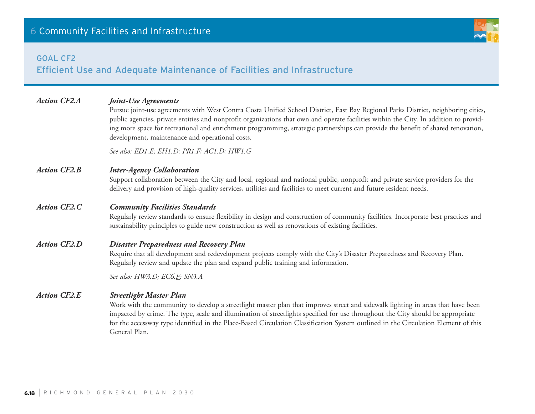# GOAL CF2

# Efficient Use and Adequate Maintenance of Facilities and Infrastructure

| <b>Action CF2.A</b> | <b>Joint-Use Agreements</b><br>Pursue joint-use agreements with West Contra Costa Unified School District, East Bay Regional Parks District, neighboring cities,<br>public agencies, private entities and nonprofit organizations that own and operate facilities within the City. In addition to provid-<br>ing more space for recreational and enrichment programming, strategic partnerships can provide the benefit of shared renovation,<br>development, maintenance and operational costs. |
|---------------------|--------------------------------------------------------------------------------------------------------------------------------------------------------------------------------------------------------------------------------------------------------------------------------------------------------------------------------------------------------------------------------------------------------------------------------------------------------------------------------------------------|
|                     | See also: ED1.E; EH1.D; PR1.F; AC1.D; HW1.G                                                                                                                                                                                                                                                                                                                                                                                                                                                      |
| <b>Action CF2.B</b> | <b>Inter-Agency Collaboration</b><br>Support collaboration between the City and local, regional and national public, nonprofit and private service providers for the<br>delivery and provision of high-quality services, utilities and facilities to meet current and future resident needs.                                                                                                                                                                                                     |
| <b>Action CF2.C</b> | <b>Community Facilities Standards</b><br>Regularly review standards to ensure flexibility in design and construction of community facilities. Incorporate best practices and<br>sustainability principles to guide new construction as well as renovations of existing facilities.                                                                                                                                                                                                               |
| <b>Action CF2.D</b> | <b>Disaster Preparedness and Recovery Plan</b><br>Require that all development and redevelopment projects comply with the City's Disaster Preparedness and Recovery Plan.<br>Regularly review and update the plan and expand public training and information.                                                                                                                                                                                                                                    |
|                     | See also: HW3.D; EC6.E; SN3.A                                                                                                                                                                                                                                                                                                                                                                                                                                                                    |
| <b>Action CF2.E</b> | <b>Streetlight Master Plan</b><br>Work with the community to develop a streetlight master plan that improves street and sidewalk lighting in areas that have been<br>impacted by crime. The type, scale and illumination of streetlights specified for use throughout the City should be appropriate<br>for the accessway type identified in the Place-Based Circulation Classification System outlined in the Circulation Element of this<br>General Plan.                                      |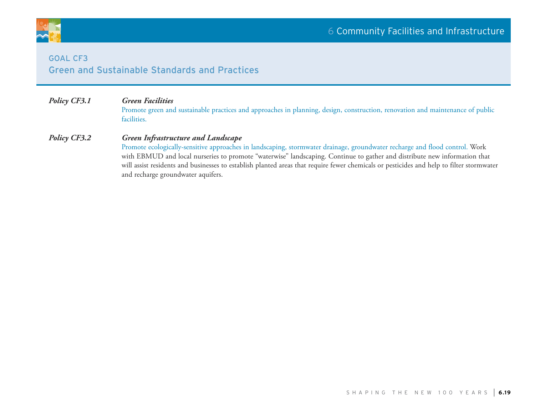



### **GOAL CF3** Green and Sustainable Standards and Practices

## *Policy CF3.1 Green Facilities*

Promote green and sustainable practices and approaches in planning, design, construction, renovation and maintenance of public facilities.

### *Policy CF3.2 Green Infrastructure and Landscape*

Promote ecologically-sensitive approaches in landscaping, stormwater drainage, groundwater recharge and flood control. Work with EBMUD and local nurseries to promote "waterwise" landscaping. Continue to gather and distribute new information that will assist residents and businesses to establish planted areas that require fewer chemicals or pesticides and help to filter stormwater and recharge groundwater aquifers.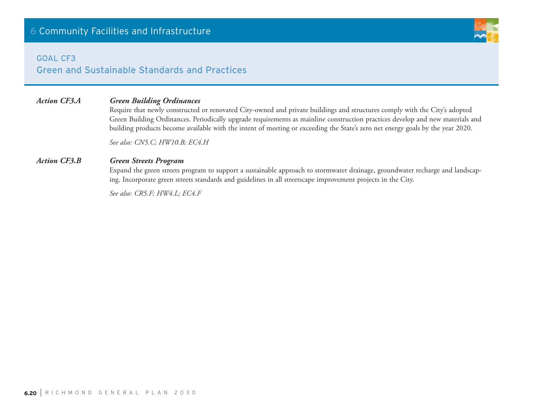### **GOAL CF3**

Green and Sustainable Standards and Practices

## *Action CF3.A Green Building Ordinances*

Require that newly constructed or renovated City-owned and private buildings and structures comply with the City's adopted Green Building Ordinances. Periodically upgrade requirements as mainline construction practices develop and new materials and building products become available with the intent of meeting or exceeding the State's zero net energy goals by the year 2020.

*See also: CN5.C; HW10.B; EC4.H*

### *Action CF3.B Green Streets Program*

Expand the green streets program to support a sustainable approach to stormwater drainage, groundwater recharge and landscaping. Incorporate green streets standards and guidelines in all streetscape improvement projects in the City.

*See also: CR5.F; HW4.L; EC4.F*

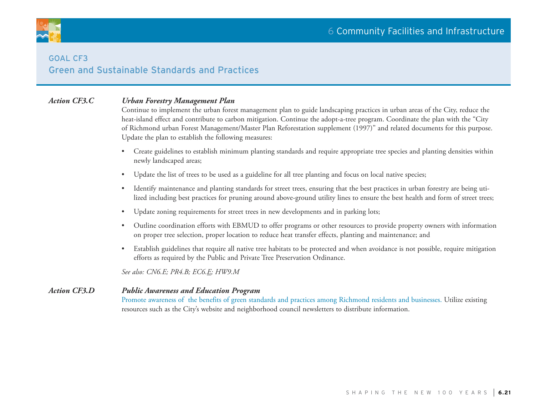

# **GOAL CF3** Green and Sustainable Standards and Practices

### *Action CF3.C Urban Forestry Management Plan*

Continue to implement the urban forest management plan to guide landscaping practices in urban areas of the City, reduce the heat-island effect and contribute to carbon mitigation. Continue the adopt-a-tree program. Coordinate the plan with the "City of Richmond urban Forest Management/Master Plan Reforestation supplement (1997)" and related documents for this purpose. Update the plan to establish the following measures:

- Create guidelines to establish minimum planting standards and require appropriate tree species and planting densities within newly landscaped areas;
- Update the list of trees to be used as a guideline for all tree planting and focus on local native species;
- Identify maintenance and planting standards for street trees, ensuring that the best practices in urban forestry are being utilized including best practices for pruning around above-ground utility lines to ensure the best health and form of street trees;
- Update zoning requirements for street trees in new developments and in parking lots;
- Outline coordination efforts with EBMUD to offer programs or other resources to provide property owners with information on proper tree selection, proper location to reduce heat transfer effects, planting and maintenance; and
- Establish guidelines that require all native tree habitats to be protected and when avoidance is not possible, require mitigation efforts as required by the Public and Private Tree Preservation Ordinance.

*See also: CN6.E; PR4.B; EC6.E; HW9.M*

### *Action CF3.D Public Awareness and Education Program*

Promote awareness of the benefits of green standards and practices among Richmond residents and businesses. Utilize existing resources such as the City's website and neighborhood council newsletters to distribute information.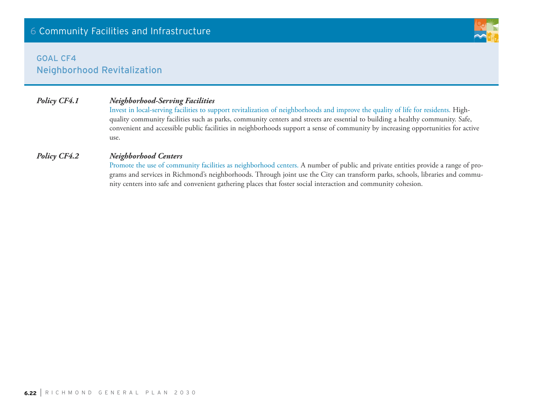# **GOAL CF4** Neighborhood Revitalization

### *Policy CF4.1 Neighborhood-Serving Facilities*

Invest in local-serving facilities to support revitalization of neighborhoods and improve the quality of life for residents. Highquality community facilities such as parks, community centers and streets are essential to building a healthy community. Safe, convenient and accessible public facilities in neighborhoods support a sense of community by increasing opportunities for active use.

### *Policy CF4.2 Neighborhood Centers*

Promote the use of community facilities as neighborhood centers. A number of public and private entities provide a range of programs and services in Richmond's neighborhoods. Through joint use the City can transform parks, schools, libraries and community centers into safe and convenient gathering places that foster social interaction and community cohesion.

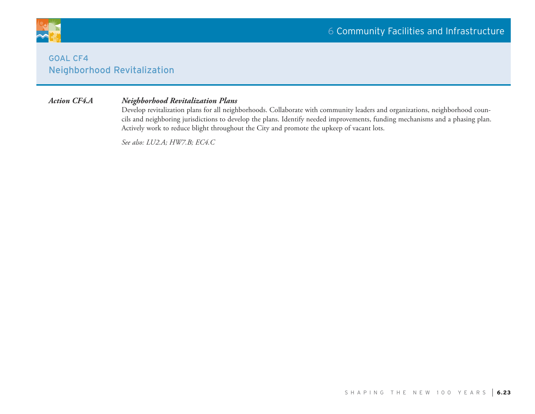

# **GOAL CF4** Neighborhood Revitalization

### *Action CF4.A Neighborhood Revitalization Plans*

Develop revitalization plans for all neighborhoods. Collaborate with community leaders and organizations, neighborhood councils and neighboring jurisdictions to develop the plans. Identify needed improvements, funding mechanisms and a phasing plan. Actively work to reduce blight throughout the City and promote the upkeep of vacant lots.

*See also: LU2.A; HW7.B; EC4.C*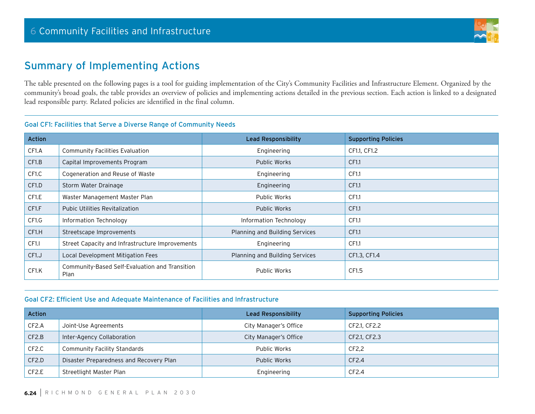

# Summary of Implementing Actions

The table presented on the following pages is a tool for guiding implementation of the City's Community Facilities and Infrastructure Element. Organized by the community's broad goals, the table provides an overview of policies and implementing actions detailed in the previous section. Each action is linked to a designated lead responsible party. Related policies are identified in the final column.

### Goal CF1: Facilities that Serve a Diverse Range of Community Needs

| <b>Action</b>      |                                                        | <b>Lead Responsibility</b>     | <b>Supporting Policies</b> |
|--------------------|--------------------------------------------------------|--------------------------------|----------------------------|
| CF1.A              | <b>Community Facilities Evaluation</b>                 | Engineering                    | CF1.1, CF1.2               |
| CF1.B              | Capital Improvements Program                           | <b>Public Works</b>            | CF1.1                      |
| CF1.C              | Cogeneration and Reuse of Waste                        | Engineering                    | CF1.1                      |
| CF1.D              | Storm Water Drainage                                   | Engineering                    | CF1.1                      |
| CF <sub>1.E</sub>  | Waster Management Master Plan                          | Public Works                   | CF1.1                      |
| CF <sub>1.F</sub>  | <b>Pubic Utilities Revitalization</b>                  | <b>Public Works</b>            | CF1.1                      |
| CF <sub>1</sub> .G | Information Technology                                 | Information Technology         | CF1.1                      |
| CF1.H              | Streetscape Improvements                               | Planning and Building Services | CF1.1                      |
| CF <sub>1</sub> .  | Street Capacity and Infrastructure Improvements        | Engineering                    | CF1.1                      |
| CF1. J             | Local Development Mitigation Fees                      | Planning and Building Services | CF1.3, CF1.4               |
| CF1.K              | Community-Based Self-Evaluation and Transition<br>Plan | <b>Public Works</b>            | CF1.5                      |

### Goal CF2: Efficient Use and Adequate Maintenance of Facilities and Infrastructure

| <b>Action</b>      |                                         | <b>Lead Responsibility</b> | <b>Supporting Policies</b> |
|--------------------|-----------------------------------------|----------------------------|----------------------------|
| CF <sub>2</sub> .A | Joint-Use Agreements                    | City Manager's Office      | CF2.1, CF2.2               |
| CF2.B              | Inter-Agency Collaboration              | City Manager's Office      | CF2.1, CF2.3               |
| CF <sub>2</sub> .C | Community Facility Standards            | Public Works               | CF2.2                      |
| CF2.D              | Disaster Preparedness and Recovery Plan | Public Works               | CF2.4                      |
| CF <sub>2</sub> .E | Streetlight Master Plan                 | Engineering                | CF2.4                      |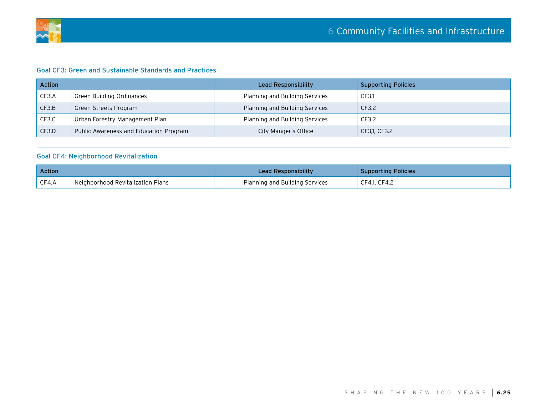

### Goal CF3: Green and Sustainable Standards and Practices

| <b>Action</b> |                                        | Lead Responsibility            | <b>Supporting Policies</b> |
|---------------|----------------------------------------|--------------------------------|----------------------------|
| CF3.A         | Green Building Ordinances              | Planning and Building Services | CF3.1                      |
| CF3.B         | Green Streets Program                  | Planning and Building Services | CF3.2                      |
| CF3.C         | Urban Forestry Management Plan         | Planning and Building Services | CF3.2                      |
| CF3.D         | Public Awareness and Education Program | City Manger's Office           | CF3,1, CF3.2               |

### Goal CF4: Neighborhood Revitalization

| <b>Action</b>     |                                   | Lead Responsibility            | <b>Supporting Policies</b> |
|-------------------|-----------------------------------|--------------------------------|----------------------------|
| $\mathsf{CFA}$ .A | Neighborhood Revitalization Plans | Planning and Building Services | CF4.1, CF4.2               |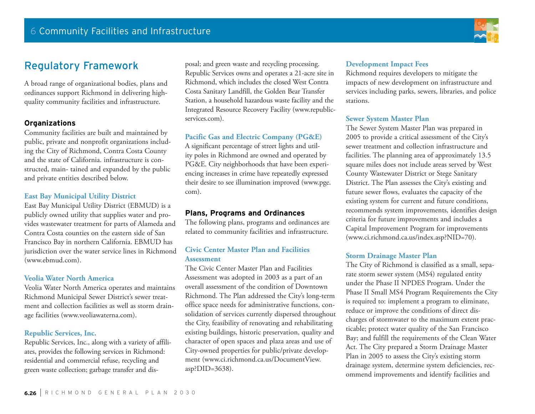# Regulatory Framework

A broad range of organizational bodies, plans and ordinances support Richmond in delivering highquality community facilities and infrastructure.

### **Organizations**

Community facilities are built and maintained by public, private and nonprofit organizations including the City of Richmond, Contra Costa County and the state of California. infrastructure is constructed, main- tained and expanded by the public and private entities described below.

### **East Bay Municipal Utility District**

East Bay Municipal Utility District (EBMUD) is a publicly owned utility that supplies water and provides wastewater treatment for parts of Alameda and Contra Costa counties on the eastern side of San Francisco Bay in northern California. EBMUD has jurisdiction over the water service lines in Richmond (www.ebmud.com).

### **Veolia Water North America**

Veolia Water North America operates and maintains Richmond Municipal Sewer District's sewer treatment and collection facilities as well as storm drainage facilities (www.veoliawaterna.com).

### **Republic Services, Inc.**

Republic Services, Inc., along with a variety of affiliates, provides the following services in Richmond: residential and commercial refuse, recycling and green waste collection; garbage transfer and dis-

posal; and green waste and recycling processing. Republic Services owns and operates a 21-acre site in Richmond, which includes the closed West Contra Costa Sanitary Landfill, the Golden Bear Transfer Station, a household hazardous waste facility and the Integrated Resource Recovery Facility (www.republicservices.com).

### **Pacific Gas and Electric Company (PG&E)**

A significant percentage of street lights and utility poles in Richmond are owned and operated by PG&E. City neighborhoods that have been experiencing increases in crime have repeatedly expressed their desire to see illumination improved (www.pge. com).

### **Plans, Programs and Ordinances**

The following plans, programs and ordinances are related to community facilities and infrastructure.

### **Civic Center Master Plan and Facilities Assessment**

The Civic Center Master Plan and Facilities Assessment was adopted in 2003 as a part of an overall assessment of the condition of Downtown Richmond. The Plan addressed the City's long-term office space needs for administrative functions, consolidation of services currently dispersed throughout the City, feasibility of renovating and rehabilitating existing buildings, historic preservation, quality and character of open spaces and plaza areas and use of City-owned properties for public/private development (www.ci.richmond.ca.us/DocumentView. asp?DID=3638).

### **Development Impact Fees**

Richmond requires developers to mitigate the impacts of new development on infrastructure and services including parks, sewers, libraries, and police stations.

### **Sewer System Master Plan**

The Sewer System Master Plan was prepared in 2005 to provide a critical assessment of the City's sewer treatment and collection infrastructure and facilities. The planning area of approximately 13.5 square miles does not include areas served by West County Wastewater District or Stege Sanitary District. The Plan assesses the City's existing and future sewer flows, evaluates the capacity of the existing system for current and future conditions, recommends system improvements, identifies design criteria for future improvements and includes a Capital Improvement Program for improvements (www.ci.richmond.ca.us/index.asp?NID=70).

### **Storm Drainage Master Plan**

The City of Richmond is classified as a small, separate storm sewer system (MS4) regulated entity under the Phase II NPDES Program. Under the Phase II Small MS4 Program Requirements the City is required to: implement a program to eliminate, reduce or improve the conditions of direct discharges of stormwater to the maximum extent practicable; protect water quality of the San Francisco Bay; and fulfill the requirements of the Clean Water Act. The City prepared a Storm Drainage Master Plan in 2005 to assess the City's existing storm drainage system, determine system deficiencies, recommend improvements and identify facilities and

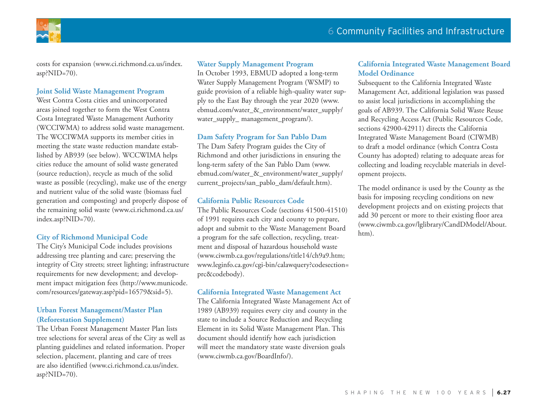

costs for expansion (www.ci.richmond.ca.us/index. asp?NID=70).

### **Joint Solid Waste Management Program**

West Contra Costa cities and unincorporated areas joined together to form the West Contra Costa Integrated Waste Management Authority (WCCIWMA) to address solid waste management. The WCCIWMA supports its member cities in meeting the state waste reduction mandate established by AB939 (see below). WCCWIMA helps cities reduce the amount of solid waste generated (source reduction), recycle as much of the solid waste as possible (recycling), make use of the energy and nutrient value of the solid waste (biomass fuel generation and composting) and properly dispose of the remaining solid waste (www.ci.richmond.ca.us/ index.asp?NID=70).

### **City of Richmond Municipal Code**

The City's Municipal Code includes provisions addressing tree planting and care; preserving the integrity of City streets; street lighting; infrastructure requirements for new development; and development impact mitigation fees (http://www.municode. com/resources/gateway.asp?pid=16579&sid=5).

### **Urban Forest Management/Master Plan (Reforestation Supplement)**

The Urban Forest Management Master Plan lists tree selections for several areas of the City as well as planting guidelines and related information. Proper selection, placement, planting and care of trees are also identified (www.ci.richmond.ca.us/index. asp? $NID=70$ ).

### **Water Supply Management Program**

In October 1993, EBMUD adopted a long-term Water Supply Management Program (WSMP) to guide provision of a reliable high-quality water supply to the East Bay through the year 2020 (www. ebmud.com/water\_&\_environment/water\_supply/ water\_supply\_ management\_program/).

### **Dam Safety Program for San Pablo Dam**

The Dam Safety Program guides the City of Richmond and other jurisdictions in ensuring the long-term safety of the San Pablo Dam (www. ebmud.com/water\_&\_environment/water\_supply/ current\_projects/san\_pablo\_dam/default.htm).

### **California Public Resources Code**

The Public Resources Code (sections 41500-41510) of 1991 requires each city and county to prepare, adopt and submit to the Waste Management Board a program for the safe collection, recycling, treatment and disposal of hazardous household waste (www.ciwmb.ca.gov/regulations/title14/ch9a9.htm; www.leginfo.ca.gov/cgi-bin/calawquery?codesection= prc&codebody).

### **California Integrated Waste Management Act**

The California Integrated Waste Management Act of 1989 (AB939) requires every city and county in the state to include a Source Reduction and Recycling Element in its Solid Waste Management Plan. This document should identify how each jurisdiction will meet the mandatory state waste diversion goals (www.ciwmb.ca.gov/BoardInfo/).

### **California Integrated Waste Management Board Model Ordinance**

Subsequent to the California Integrated Waste Management Act, additional legislation was passed to assist local jurisdictions in accomplishing the goals of AB939. The California Solid Waste Reuse and Recycling Access Act (Public Resources Code, sections 42900-42911) directs the California Integrated Waste Management Board (CIWMB) to draft a model ordinance (which Contra Costa County has adopted) relating to adequate areas for collecting and loading recyclable materials in development projects.

The model ordinance is used by the County as the basis for imposing recycling conditions on new development projects and on existing projects that add 30 percent or more to their existing floor area (www.ciwmb.ca.gov/lglibrary/CandDModel/About. htm).